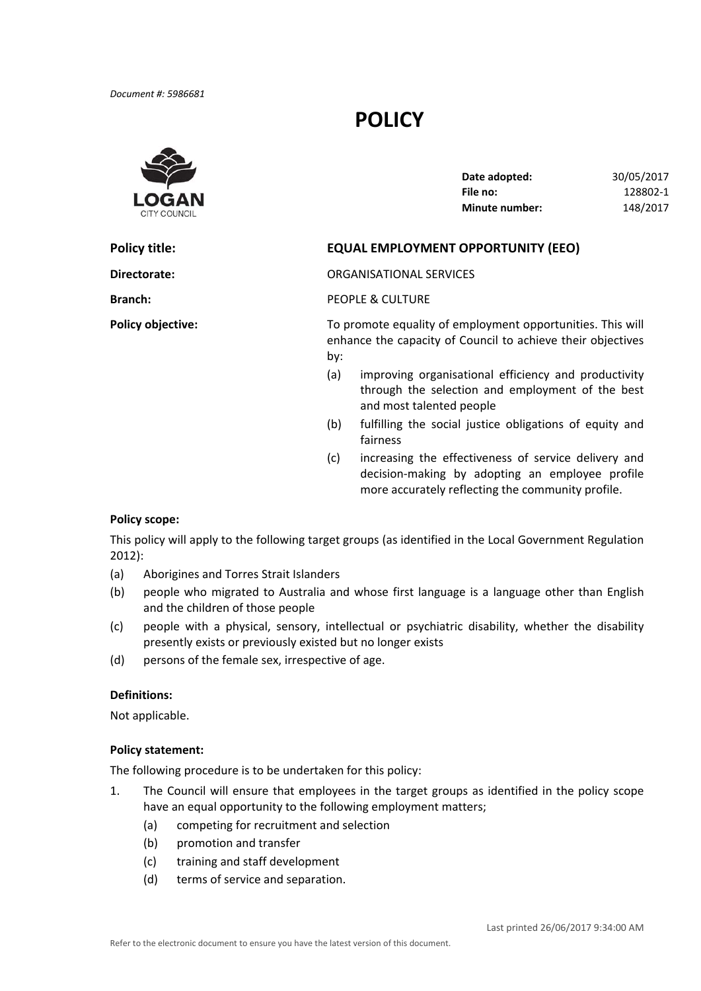# **POLICY**



| Date adopted:         | 30/05/2017 |
|-----------------------|------------|
| File no:              | 128802-1   |
| <b>Minute number:</b> | 148/2017   |

## **Policy title: EQUAL EMPLOYMENT OPPORTUNITY (EEO)**

**Directorate:** ORGANISATIONAL SERVICES

**Branch:** PEOPLE & CULTURE

**Policy objective:** To promote equality of employment opportunities. This will enhance the capacity of Council to achieve their objectives by:

- (a) improving organisational efficiency and productivity through the selection and employment of the best and most talented people
- (b) fulfilling the social justice obligations of equity and fairness
- (c) increasing the effectiveness of service delivery and decision‐making by adopting an employee profile more accurately reflecting the community profile.

#### **Policy scope:**

 This policy will apply to the following target groups (as identified in the Local Government Regulation 2012):

- (a) Aborigines and Torres Strait Islanders
- (b) people who migrated to Australia and whose first language is a language other than English and the children of those people
- (c) people with a physical, sensory, intellectual or psychiatric disability, whether the disability presently exists or previously existed but no longer exists
- (d) persons of the female sex, irrespective of age.

### **Definitions:**

Not applicable.

#### **Policy statement:**

The following procedure is to be undertaken for this policy:

- 1. The Council will ensure that employees in the target groups as identified in the policy scope have an equal opportunity to the following employment matters;
	- (a) competing for recruitment and selection
	- (b) promotion and transfer
	- (c) training and staff development
	- (d) terms of service and separation.